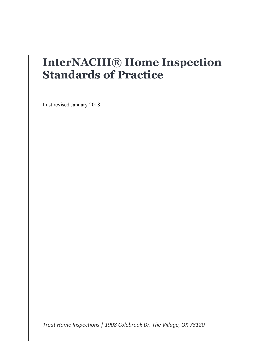# **InterNACHI® Home Inspection Standards of Practice**

Last revised January 2018

*Treat Home Inspections | 1908 Colebrook Dr, The Village, OK 73120*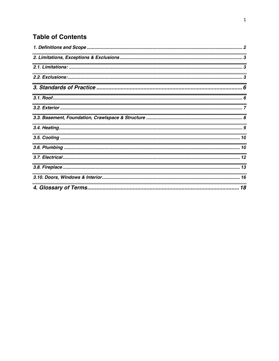#### **Table of Contents**

| <u> 1989 - Johann Barn, amerikan bernama di sebagai bernama dan bernama di sebagai bernama dalam bernama dalam b</u>         |  |
|------------------------------------------------------------------------------------------------------------------------------|--|
|                                                                                                                              |  |
| <u> 1989 - Johann Stoff, die besteht aus der Stoffen und der Stoffen und der Stoffen und der Stoffen und der Stoffen und</u> |  |
|                                                                                                                              |  |
| <u> 1989 - Johann Stoff, deutscher Stoffen und der Stoffen und der Stoffen und der Stoffen und der Stoffen und der</u>       |  |
|                                                                                                                              |  |
|                                                                                                                              |  |
|                                                                                                                              |  |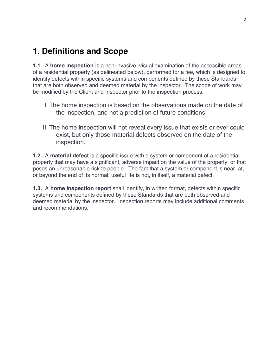### **1. Definitions and Scope**

**1.1.** A **home inspection** is a non-invasive, visual examination of the accessible areas of a residential property (as delineated below), performed for a fee, which is designed to identify defects within specific systems and components defined by these Standards that are both observed and deemed material by the inspector. The scope of work may be modified by the Client and Inspector prior to the inspection process.

- I. The home inspection is based on the observations made on the date of the inspection, and not a prediction of future conditions.
- II. The home inspection will not reveal every issue that exists or ever could exist, but only those material defects observed on the date of the inspection.

**1.2.** A **material defect** is a specific issue with a system or component of a residential property that may have a significant, adverse impact on the value of the property, or that poses an unreasonable risk to people. The fact that a system or component is near, at, or beyond the end of its normal, useful life is not, in itself, a material defect.

**1.3.** A **home inspection report** shall identify, in written format, defects within specific systems and components defined by these Standards that are both observed and deemed material by the inspector. Inspection reports may include additional comments and recommendations.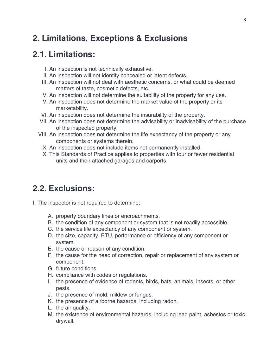### **2. Limitations, Exceptions & Exclusions**

#### **2.1. Limitations:**

- I. An inspection is not technically exhaustive.
- II. An inspection will not identify concealed or latent defects.
- III. An inspection will not deal with aesthetic concerns, or what could be deemed matters of taste, cosmetic defects, etc.
- IV. An inspection will not determine the suitability of the property for any use.
- V. An inspection does not determine the market value of the property or its marketability.
- VI. An inspection does not determine the insurability of the property.
- VII. An inspection does not determine the advisability or inadvisability of the purchase of the inspected property.
- VIII. An inspection does not determine the life expectancy of the property or any components or systems therein.
- IX. An inspection does not include items not permanently installed.
- X. This Standards of Practice applies to properties with four or fewer residential units and their attached garages and carports.

#### **2.2. Exclusions:**

- I. The inspector is not required to determine:
	- A. property boundary lines or encroachments.
	- B. the condition of any component or system that is not readily accessible.
	- C. the service life expectancy of any component or system.
	- D. the size, capacity, BTU, performance or efficiency of any component or system.
	- E. the cause or reason of any condition.
	- F. the cause for the need of correction, repair or replacement of any system or component.
	- G. future conditions.
	- H. compliance with codes or regulations.
	- I. the presence of evidence of rodents, birds, bats, animals, insects, or other pests.
	- J. the presence of mold, mildew or fungus.
	- K. the presence of airborne hazards, including radon.
	- L. the air quality.
	- M. the existence of environmental hazards, including lead paint, asbestos or toxic drywall.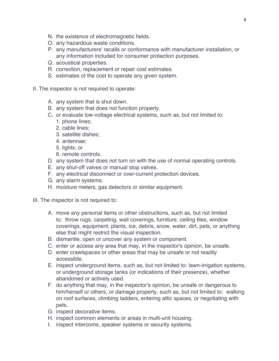- N. the existence of electromagnetic fields.
- O. any hazardous waste conditions.
- P. any manufacturers' recalls or conformance with manufacturer installation, or any information included for consumer protection purposes.
- Q. acoustical properties.
- R. correction, replacement or repair cost estimates.
- S. estimates of the cost to operate any given system.
- II. The inspector is not required to operate:
	- A. any system that is shut down.
	- B. any system that does not function properly.
	- C. or evaluate low-voltage electrical systems, such as, but not limited to:
		- 1. phone lines;
		- 2. cable lines;
		- 3. satellite dishes;
		- 4. antennae;
		- 5. lights; or
		- 6. remote controls.
	- D. any system that does not turn on with the use of normal operating controls.
	- E. any shut-off valves or manual stop valves.
	- F. any electrical disconnect or over-current protection devices.
	- G. any alarm systems.
	- H. moisture meters, gas detectors or similar equipment.
- III. The inspector is not required to:
	- A. move any personal items or other obstructions, such as, but not limited to: throw rugs, carpeting, wall coverings, furniture, ceiling tiles, window coverings, equipment, plants, ice, debris, snow, water, dirt, pets, or anything else that might restrict the visual inspection.
	- B. dismantle, open or uncover any system or component.
	- C. enter or access any area that may, in the inspector's opinion, be unsafe.
	- D. enter crawlspaces or other areas that may be unsafe or not readily accessible.
	- E. inspect underground items, such as, but not limited to: lawn-irrigation systems, or underground storage tanks (or indications of their presence), whether abandoned or actively used.
	- F. do anything that may, in the inspector's opinion, be unsafe or dangerous to him/herself or others, or damage property, such as, but not limited to: walking on roof surfaces, climbing ladders, entering attic spaces, or negotiating with pets.
	- G. inspect decorative items.
	- H. inspect common elements or areas in multi-unit housing.
	- I. inspect intercoms, speaker systems or security systems.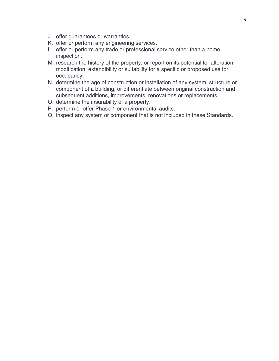- J. offer guarantees or warranties.
- K. offer or perform any engineering services.
- L. offer or perform any trade or professional service other than a home inspection.
- M. research the history of the property, or report on its potential for alteration, modification, extendibility or suitability for a specific or proposed use for occupancy.
- N. determine the age of construction or installation of any system, structure or component of a building, or differentiate between original construction and subsequent additions, improvements, renovations or replacements.
- O. determine the insurability of a property.
- P. perform or offer Phase 1 or environmental audits.
- Q. inspect any system or component that is not included in these Standards.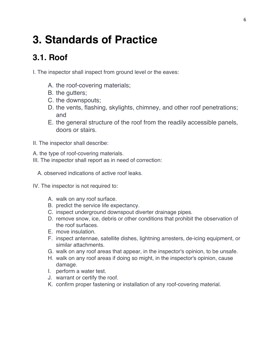# **3. Standards of Practice**

## **3.1. Roof**

I. The inspector shall inspect from ground level or the eaves:

- A. the roof-covering materials;
- B. the gutters;
- C. the downspouts;
- D. the vents, flashing, skylights, chimney, and other roof penetrations; and
- E. the general structure of the roof from the readily accessible panels, doors or stairs.
- II. The inspector shall describe:
- A. the type of roof-covering materials.
- III. The inspector shall report as in need of correction:
	- A. observed indications of active roof leaks.
- IV. The inspector is not required to:
	- A. walk on any roof surface.
	- B. predict the service life expectancy.
	- C. inspect underground downspout diverter drainage pipes.
	- D. remove snow, ice, debris or other conditions that prohibit the observation of the roof surfaces.
	- E. move insulation.
	- F. inspect antennae, satellite dishes, lightning arresters, de-icing equipment, or similar attachments.
	- G. walk on any roof areas that appear, in the inspector's opinion, to be unsafe.
	- H. walk on any roof areas if doing so might, in the inspector's opinion, cause damage.
	- I. perform a water test.
	- J. warrant or certify the roof.
	- K. confirm proper fastening or installation of any roof-covering material.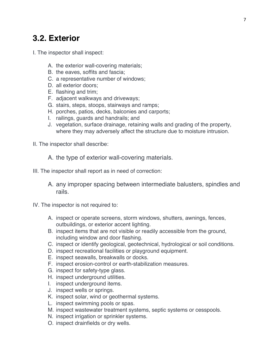#### **3.2. Exterior**

- I. The inspector shall inspect:
	- A. the exterior wall-covering materials;
	- B. the eaves, soffits and fascia;
	- C. a representative number of windows;
	- D. all exterior doors;
	- E. flashing and trim;
	- F. adjacent walkways and driveways;
	- G. stairs, steps, stoops, stairways and ramps;
	- H. porches, patios, decks, balconies and carports;
	- I. railings, guards and handrails; and
	- J. vegetation, surface drainage, retaining walls and grading of the property, where they may adversely affect the structure due to moisture intrusion.
- II. The inspector shall describe:
	- A. the type of exterior wall-covering materials.
- III. The inspector shall report as in need of correction:
	- A. any improper spacing between intermediate balusters, spindles and rails.
- IV. The inspector is not required to:
	- A. inspect or operate screens, storm windows, shutters, awnings, fences, outbuildings, or exterior accent lighting.
	- B. inspect items that are not visible or readily accessible from the ground, including window and door flashing.
	- C. inspect or identify geological, geotechnical, hydrological or soil conditions.
	- D. inspect recreational facilities or playground equipment.
	- E. inspect seawalls, breakwalls or docks.
	- F. inspect erosion-control or earth-stabilization measures.
	- G. inspect for safety-type glass.
	- H. inspect underground utilities.
	- I. inspect underground items.
	- J. inspect wells or springs.
	- K. inspect solar, wind or geothermal systems.
	- L. inspect swimming pools or spas.
	- M. inspect wastewater treatment systems, septic systems or cesspools.
	- N. inspect irrigation or sprinkler systems.
	- O. inspect drainfields or dry wells.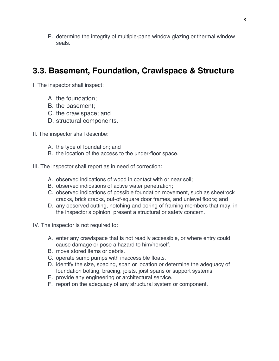P. determine the integrity of multiple-pane window glazing or thermal window seals.

#### **3.3. Basement, Foundation, Crawlspace & Structure**

I. The inspector shall inspect:

- A. the foundation;
- B. the basement;
- C. the crawlspace; and
- D. structural components.

II. The inspector shall describe:

- A. the type of foundation; and
- B. the location of the access to the under-floor space.

III. The inspector shall report as in need of correction:

- A. observed indications of wood in contact with or near soil;
- B. observed indications of active water penetration;
- C. observed indications of possible foundation movement, such as sheetrock cracks, brick cracks, out-of-square door frames, and unlevel floors; and
- D. any observed cutting, notching and boring of framing members that may, in the inspector's opinion, present a structural or safety concern.
- IV. The inspector is not required to:
	- A. enter any crawlspace that is not readily accessible, or where entry could cause damage or pose a hazard to him/herself.
	- B. move stored items or debris.
	- C. operate sump pumps with inaccessible floats.
	- D. identify the size, spacing, span or location or determine the adequacy of foundation bolting, bracing, joists, joist spans or support systems.
	- E. provide any engineering or architectural service.
	- F. report on the adequacy of any structural system or component.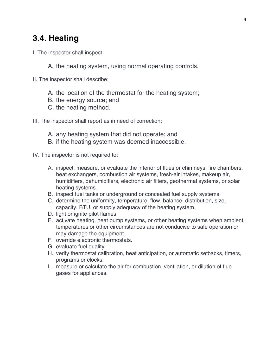#### **3.4. Heating**

- I. The inspector shall inspect:
	- A. the heating system, using normal operating controls.
- II. The inspector shall describe:
	- A. the location of the thermostat for the heating system;
	- B. the energy source; and
	- C. the heating method.

III. The inspector shall report as in need of correction:

- A. any heating system that did not operate; and
- B. if the heating system was deemed inaccessible.
- IV. The inspector is not required to:
	- A. inspect, measure, or evaluate the interior of flues or chimneys, fire chambers, heat exchangers, combustion air systems, fresh-air intakes, makeup air, humidifiers, dehumidifiers, electronic air filters, geothermal systems, or solar heating systems.
	- B. inspect fuel tanks or underground or concealed fuel supply systems.
	- C. determine the uniformity, temperature, flow, balance, distribution, size, capacity, BTU, or supply adequacy of the heating system.
	- D. light or ignite pilot flames.
	- E. activate heating, heat pump systems, or other heating systems when ambient temperatures or other circumstances are not conducive to safe operation or may damage the equipment.
	- F. override electronic thermostats.
	- G. evaluate fuel quality.
	- H. verify thermostat calibration, heat anticipation, or automatic setbacks, timers, programs or clocks.
	- I. measure or calculate the air for combustion, ventilation, or dilution of flue gases for appliances.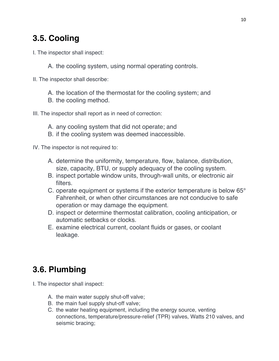### **3.5. Cooling**

I. The inspector shall inspect:

A. the cooling system, using normal operating controls.

- II. The inspector shall describe:
	- A. the location of the thermostat for the cooling system; and
	- B. the cooling method.
- III. The inspector shall report as in need of correction:
	- A. any cooling system that did not operate; and
	- B. if the cooling system was deemed inaccessible.

IV. The inspector is not required to:

- A. determine the uniformity, temperature, flow, balance, distribution, size, capacity, BTU, or supply adequacy of the cooling system.
- B. inspect portable window units, through-wall units, or electronic air filters.
- C. operate equipment or systems if the exterior temperature is below 65° Fahrenheit, or when other circumstances are not conducive to safe operation or may damage the equipment.
- D. inspect or determine thermostat calibration, cooling anticipation, or automatic setbacks or clocks.
- E. examine electrical current, coolant fluids or gases, or coolant leakage.

## **3.6. Plumbing**

- I. The inspector shall inspect:
	- A. the main water supply shut-off valve;
	- B. the main fuel supply shut-off valve;
	- C. the water heating equipment, including the energy source, venting connections, temperature/pressure-relief (TPR) valves, Watts 210 valves, and seismic bracing;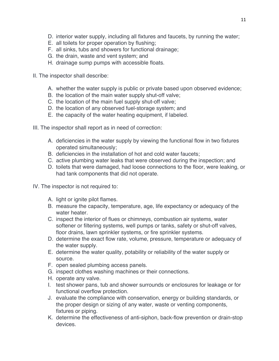- D. interior water supply, including all fixtures and faucets, by running the water;
- E. all toilets for proper operation by flushing;
- F. all sinks, tubs and showers for functional drainage;
- G. the drain, waste and vent system; and
- H. drainage sump pumps with accessible floats.
- II. The inspector shall describe:
	- A. whether the water supply is public or private based upon observed evidence;
	- B. the location of the main water supply shut-off valve;
	- C. the location of the main fuel supply shut-off valve;
	- D. the location of any observed fuel-storage system; and
	- E. the capacity of the water heating equipment, if labeled.
- III. The inspector shall report as in need of correction:
	- A. deficiencies in the water supply by viewing the functional flow in two fixtures operated simultaneously;
	- B. deficiencies in the installation of hot and cold water faucets;
	- C. active plumbing water leaks that were observed during the inspection; and
	- D. toilets that were damaged, had loose connections to the floor, were leaking, or had tank components that did not operate.
- IV. The inspector is not required to:
	- A. light or ignite pilot flames.
	- B. measure the capacity, temperature, age, life expectancy or adequacy of the water heater.
	- C. inspect the interior of flues or chimneys, combustion air systems, water softener or filtering systems, well pumps or tanks, safety or shut-off valves, floor drains, lawn sprinkler systems, or fire sprinkler systems.
	- D. determine the exact flow rate, volume, pressure, temperature or adequacy of the water supply.
	- E. determine the water quality, potability or reliability of the water supply or source.
	- F. open sealed plumbing access panels.
	- G. inspect clothes washing machines or their connections.
	- H. operate any valve.
	- I. test shower pans, tub and shower surrounds or enclosures for leakage or for functional overflow protection.
	- J. evaluate the compliance with conservation, energy or building standards, or the proper design or sizing of any water, waste or venting components, fixtures or piping.
	- K. determine the effectiveness of anti-siphon, back-flow prevention or drain-stop devices.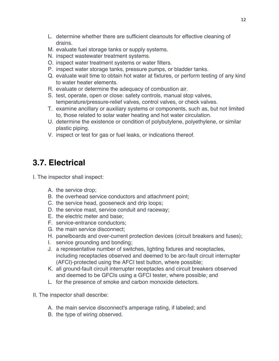- L. determine whether there are sufficient cleanouts for effective cleaning of drains.
- M. evaluate fuel storage tanks or supply systems.
- N. inspect wastewater treatment systems.
- O. inspect water treatment systems or water filters.
- P. inspect water storage tanks, pressure pumps, or bladder tanks.
- Q. evaluate wait time to obtain hot water at fixtures, or perform testing of any kind to water heater elements.
- R. evaluate or determine the adequacy of combustion air.
- S. test, operate, open or close: safety controls, manual stop valves, temperature/pressure-relief valves, control valves, or check valves.
- T. examine ancillary or auxiliary systems or components, such as, but not limited to, those related to solar water heating and hot water circulation.
- U. determine the existence or condition of polybutylene, polyethylene, or similar plastic piping.
- V. inspect or test for gas or fuel leaks, or indications thereof.

#### **3.7. Electrical**

- I. The inspector shall inspect:
	- A. the service drop;
	- B. the overhead service conductors and attachment point;
	- C. the service head, gooseneck and drip loops;
	- D. the service mast, service conduit and raceway;
	- E. the electric meter and base;
	- F. service-entrance conductors;
	- G. the main service disconnect;
	- H. panelboards and over-current protection devices (circuit breakers and fuses);
	- I. service grounding and bonding;
	- J. a representative number of switches, lighting fixtures and receptacles, including receptacles observed and deemed to be arc-fault circuit interrupter (AFCI)-protected using the AFCI test button, where possible;
	- K. all ground-fault circuit interrupter receptacles and circuit breakers observed and deemed to be GFCIs using a GFCI tester, where possible; and
	- L. for the presence of smoke and carbon monoxide detectors.
- II. The inspector shall describe:
	- A. the main service disconnect's amperage rating, if labeled; and
	- B. the type of wiring observed.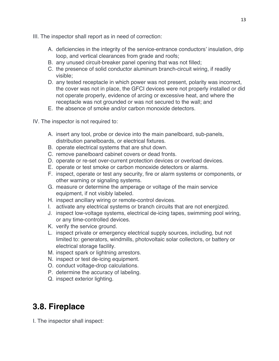- III. The inspector shall report as in need of correction:
	- A. deficiencies in the integrity of the service-entrance conductors' insulation, drip loop, and vertical clearances from grade and roofs;
	- B. any unused circuit-breaker panel opening that was not filled;
	- C. the presence of solid conductor aluminum branch-circuit wiring, if readily visible;
	- D. any tested receptacle in which power was not present, polarity was incorrect, the cover was not in place, the GFCI devices were not properly installed or did not operate properly, evidence of arcing or excessive heat, and where the receptacle was not grounded or was not secured to the wall; and
	- E. the absence of smoke and/or carbon monoxide detectors.
- IV. The inspector is not required to:
	- A. insert any tool, probe or device into the main panelboard, sub-panels, distribution panelboards, or electrical fixtures.
	- B. operate electrical systems that are shut down.
	- C. remove panelboard cabinet covers or dead fronts.
	- D. operate or re-set over-current protection devices or overload devices.
	- E. operate or test smoke or carbon monoxide detectors or alarms.
	- F. inspect, operate or test any security, fire or alarm systems or components, or other warning or signaling systems.
	- G. measure or determine the amperage or voltage of the main service equipment, if not visibly labeled.
	- H. inspect ancillary wiring or remote-control devices.
	- I. activate any electrical systems or branch circuits that are not energized.
	- J. inspect low-voltage systems, electrical de-icing tapes, swimming pool wiring, or any time-controlled devices.
	- K. verify the service ground.
	- L. inspect private or emergency electrical supply sources, including, but not limited to: generators, windmills, photovoltaic solar collectors, or battery or electrical storage facility.
	- M. inspect spark or lightning arrestors.
	- N. inspect or test de-icing equipment.
	- O. conduct voltage-drop calculations.
	- P. determine the accuracy of labeling.
	- Q. inspect exterior lighting.

# **3.8. Fireplace**

I. The inspector shall inspect: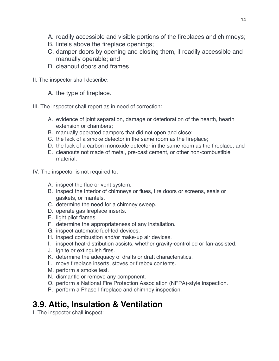- A. readily accessible and visible portions of the fireplaces and chimneys;
- B. lintels above the fireplace openings;
- C. damper doors by opening and closing them, if readily accessible and manually operable; and
- D. cleanout doors and frames.
- II. The inspector shall describe:

A. the type of fireplace.

III. The inspector shall report as in need of correction:

- A. evidence of joint separation, damage or deterioration of the hearth, hearth extension or chambers;
- B. manually operated dampers that did not open and close;
- C. the lack of a smoke detector in the same room as the fireplace;
- D. the lack of a carbon monoxide detector in the same room as the fireplace; and
- E. cleanouts not made of metal, pre-cast cement, or other non-combustible material.
- IV. The inspector is not required to:
	- A. inspect the flue or vent system.
	- B. inspect the interior of chimneys or flues, fire doors or screens, seals or gaskets, or mantels.
	- C. determine the need for a chimney sweep.
	- D. operate gas fireplace inserts.
	- E. light pilot flames.
	- F. determine the appropriateness of any installation.
	- G. inspect automatic fuel-fed devices.
	- H. inspect combustion and/or make-up air devices.
	- I. inspect heat-distribution assists, whether gravity-controlled or fan-assisted.
	- J. ignite or extinguish fires.
	- K. determine the adequacy of drafts or draft characteristics.
	- L. move fireplace inserts, stoves or firebox contents.
	- M. perform a smoke test.
	- N. dismantle or remove any component.
	- O. perform a National Fire Protection Association (NFPA)-style inspection.
	- P. perform a Phase I fireplace and chimney inspection.

# **3.9. Attic, Insulation & Ventilation**

I. The inspector shall inspect: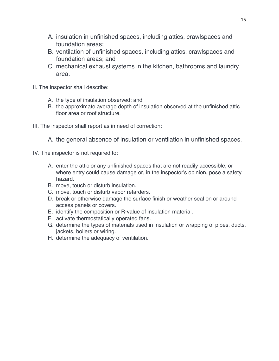- A. insulation in unfinished spaces, including attics, crawlspaces and foundation areas;
- B. ventilation of unfinished spaces, including attics, crawlspaces and foundation areas; and
- C. mechanical exhaust systems in the kitchen, bathrooms and laundry area.
- II. The inspector shall describe:
	- A. the type of insulation observed; and
	- B. the approximate average depth of insulation observed at the unfinished attic floor area or roof structure.
- III. The inspector shall report as in need of correction:
	- A. the general absence of insulation or ventilation in unfinished spaces.
- IV. The inspector is not required to:
	- A. enter the attic or any unfinished spaces that are not readily accessible, or where entry could cause damage or, in the inspector's opinion, pose a safety hazard.
	- B. move, touch or disturb insulation.
	- C. move, touch or disturb vapor retarders.
	- D. break or otherwise damage the surface finish or weather seal on or around access panels or covers.
	- E. identify the composition or R-value of insulation material.
	- F. activate thermostatically operated fans.
	- G. determine the types of materials used in insulation or wrapping of pipes, ducts, jackets, boilers or wiring.
	- H. determine the adequacy of ventilation.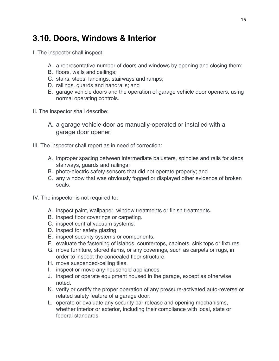#### **3.10. Doors, Windows & Interior**

- I. The inspector shall inspect:
	- A. a representative number of doors and windows by opening and closing them;
	- B. floors, walls and ceilings;
	- C. stairs, steps, landings, stairways and ramps;
	- D. railings, guards and handrails; and
	- E. garage vehicle doors and the operation of garage vehicle door openers, using normal operating controls.
- II. The inspector shall describe:
	- A. a garage vehicle door as manually-operated or installed with a garage door opener.
- III. The inspector shall report as in need of correction:
	- A. improper spacing between intermediate balusters, spindles and rails for steps, stairways, guards and railings;
	- B. photo-electric safety sensors that did not operate properly; and
	- C. any window that was obviously fogged or displayed other evidence of broken seals.
- IV. The inspector is not required to:
	- A. inspect paint, wallpaper, window treatments or finish treatments.
	- B. inspect floor coverings or carpeting.
	- C. inspect central vacuum systems.
	- D. inspect for safety glazing.
	- E. inspect security systems or components.
	- F. evaluate the fastening of islands, countertops, cabinets, sink tops or fixtures.
	- G. move furniture, stored items, or any coverings, such as carpets or rugs, in order to inspect the concealed floor structure.
	- H. move suspended-ceiling tiles.
	- I. inspect or move any household appliances.
	- J. inspect or operate equipment housed in the garage, except as otherwise noted.
	- K. verify or certify the proper operation of any pressure-activated auto-reverse or related safety feature of a garage door.
	- L. operate or evaluate any security bar release and opening mechanisms, whether interior or exterior, including their compliance with local, state or federal standards.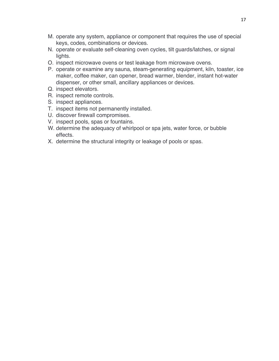- M. operate any system, appliance or component that requires the use of special keys, codes, combinations or devices.
- N. operate or evaluate self-cleaning oven cycles, tilt guards/latches, or signal lights.
- O. inspect microwave ovens or test leakage from microwave ovens.
- P. operate or examine any sauna, steam-generating equipment, kiln, toaster, ice maker, coffee maker, can opener, bread warmer, blender, instant hot-water dispenser, or other small, ancillary appliances or devices.
- Q. inspect elevators.
- R. inspect remote controls.
- S. inspect appliances.
- T. inspect items not permanently installed.
- U. discover firewall compromises.
- V. inspect pools, spas or fountains.
- W. determine the adequacy of whirlpool or spa jets, water force, or bubble effects.
- X. determine the structural integrity or leakage of pools or spas.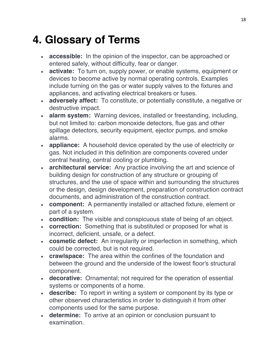# **4. Glossary of Terms**

- **accessible:** In the opinion of the inspector, can be approached or entered safely, without difficulty, fear or danger.
- **activate:** To turn on, supply power, or enable systems, equipment or devices to become active by normal operating controls. Examples include turning on the gas or water supply valves to the fixtures and appliances, and activating electrical breakers or fuses.
- **adversely affect:** To constitute, or potentially constitute, a negative or destructive impact.
- **alarm system:** Warning devices, installed or freestanding, including, but not limited to: carbon monoxide detectors, flue gas and other spillage detectors, security equipment, ejector pumps, and smoke alarms.
- **appliance:** A household device operated by the use of electricity or gas. Not included in this definition are components covered under central heating, central cooling or plumbing.
- **architectural service:** Any practice involving the art and science of building design for construction of any structure or grouping of structures, and the use of space within and surrounding the structures or the design, design development, preparation of construction contract documents, and administration of the construction contract.
- **component:** A permanently installed or attached fixture, element or part of a system.
- **condition:** The visible and conspicuous state of being of an object.
- **correction:** Something that is substituted or proposed for what is incorrect, deficient, unsafe, or a defect.
- **cosmetic defect:** An irregularity or imperfection in something, which could be corrected, but is not required.
- **crawlspace:** The area within the confines of the foundation and between the ground and the underside of the lowest floor's structural component.
- **decorative:** Ornamental; not required for the operation of essential systems or components of a home.
- **describe:** To report in writing a system or component by its type or other observed characteristics in order to distinguish it from other components used for the same purpose.
- **determine:** To arrive at an opinion or conclusion pursuant to examination.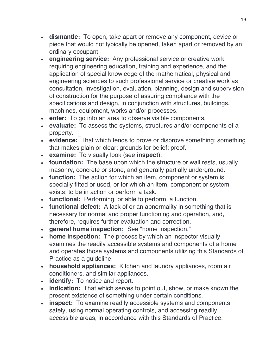- **dismantle:** To open, take apart or remove any component, device or piece that would not typically be opened, taken apart or removed by an ordinary occupant.
- **engineering service:** Any professional service or creative work requiring engineering education, training and experience, and the application of special knowledge of the mathematical, physical and engineering sciences to such professional service or creative work as consultation, investigation, evaluation, planning, design and supervision of construction for the purpose of assuring compliance with the specifications and design, in conjunction with structures, buildings, machines, equipment, works and/or processes.
- **enter:** To go into an area to observe visible components.
- **evaluate:** To assess the systems, structures and/or components of a property.
- **evidence:** That which tends to prove or disprove something; something that makes plain or clear; grounds for belief; proof.
- **examine:** To visually look (see **inspect**).
- **foundation:** The base upon which the structure or wall rests, usually masonry, concrete or stone, and generally partially underground.
- **function:** The action for which an item, component or system is specially fitted or used, or for which an item, component or system exists; to be in action or perform a task.
- **functional:** Performing, or able to perform, a function.
- **functional defect:** A lack of or an abnormality in something that is necessary for normal and proper functioning and operation, and, therefore, requires further evaluation and correction.
- **general home inspection:** See "home inspection."
- **home inspection:** The process by which an inspector visually examines the readily accessible systems and components of a home and operates those systems and components utilizing this Standards of Practice as a guideline.
- **household appliances:** Kitchen and laundry appliances, room air conditioners, and similar appliances.
- **identify:** To notice and report.
- **indication:** That which serves to point out, show, or make known the present existence of something under certain conditions.
- **inspect:** To examine readily accessible systems and components safely, using normal operating controls, and accessing readily accessible areas, in accordance with this Standards of Practice.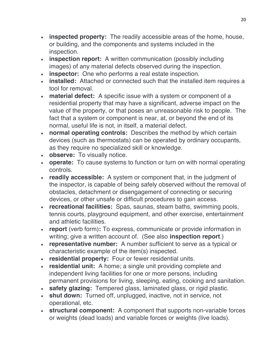- **inspected property:** The readily accessible areas of the home, house, or building, and the components and systems included in the inspection.
- **inspection report:** A written communication (possibly including images) of any material defects observed during the inspection.
- **inspector:** One who performs a real estate inspection.
- **installed:** Attached or connected such that the installed item requires a tool for removal.
- **material defect:** A specific issue with a system or component of a residential property that may have a significant, adverse impact on the value of the property, or that poses an unreasonable risk to people. The fact that a system or component is near, at, or beyond the end of its normal, useful life is not, in itself, a material defect.
- **normal operating controls:** Describes the method by which certain devices (such as thermostats) can be operated by ordinary occupants, as they require no specialized skill or knowledge.
- **observe:** To visually notice.
- **operate:** To cause systems to function or turn on with normal operating controls.
- **readily accessible:** A system or component that, in the judgment of the inspector, is capable of being safely observed without the removal of obstacles, detachment or disengagement of connecting or securing devices, or other unsafe or difficult procedures to gain access.
- **recreational facilities:** Spas, saunas, steam baths, swimming pools, tennis courts, playground equipment, and other exercise, entertainment and athletic facilities.
- **report** (verb form)**:** To express, communicate or provide information in writing; give a written account of. (See also **inspection report**.)
- **representative number:** A number sufficient to serve as a typical or characteristic example of the item(s) inspected.
- **residential property:** Four or fewer residential units.
- **residential unit:** A home; a single unit providing complete and independent living facilities for one or more persons, including permanent provisions for living, sleeping, eating, cooking and sanitation.
- **safety glazing:** Tempered glass, laminated glass, or rigid plastic.
- **shut down:** Turned off, unplugged, inactive, not in service, not operational, etc.
- **structural component:** A component that supports non-variable forces or weights (dead loads) and variable forces or weights (live loads).